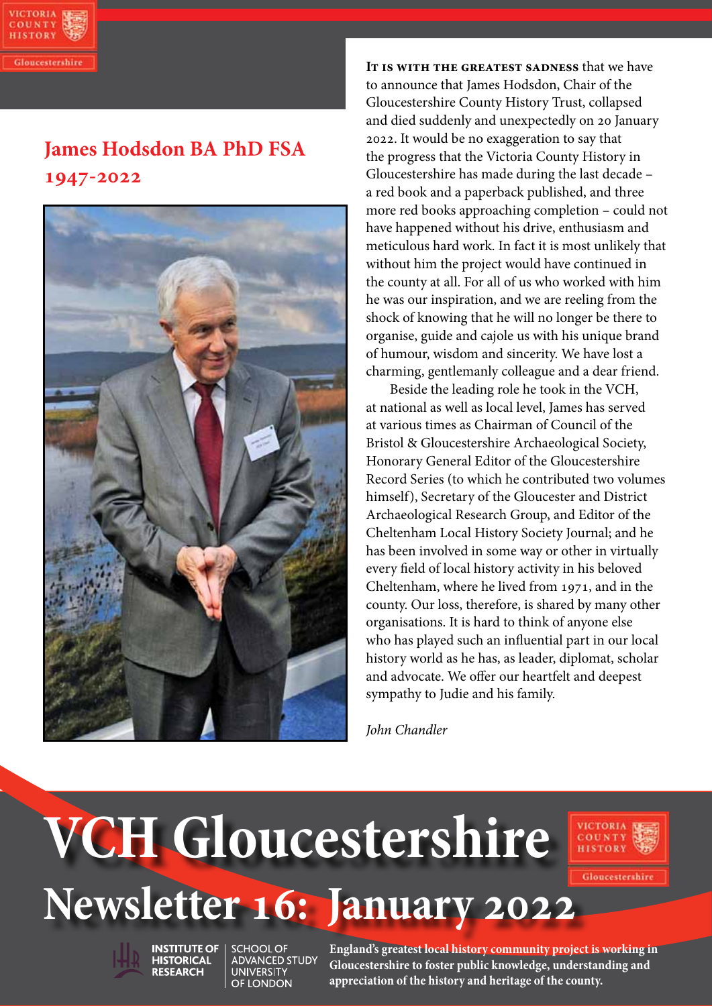

# **James Hodsdon BA PhD FSA 1947-2022**



**It is with the greatest sadness** that we have to announce that James Hodsdon, Chair of the Gloucestershire County History Trust, collapsed and died suddenly and unexpectedly on 20 January 2022. It would be no exaggeration to say that the progress that the Victoria County History in Gloucestershire has made during the last decade – a red book and a paperback published, and three more red books approaching completion – could not have happened without his drive, enthusiasm and meticulous hard work. In fact it is most unlikely that without him the project would have continued in the county at all. For all of us who worked with him he was our inspiration, and we are reeling from the shock of knowing that he will no longer be there to organise, guide and cajole us with his unique brand of humour, wisdom and sincerity. We have lost a charming, gentlemanly colleague and a dear friend.

Beside the leading role he took in the VCH, at national as well as local level, James has served at various times as Chairman of Council of the Bristol & Gloucestershire Archaeological Society, Honorary General Editor of the Gloucestershire Record Series (to which he contributed two volumes himself), Secretary of the Gloucester and District Archaeological Research Group, and Editor of the Cheltenham Local History Society Journal; and he has been involved in some way or other in virtually every field of local history activity in his beloved Cheltenham, where he lived from 1971, and in the county. Our loss, therefore, is shared by many other organisations. It is hard to think of anyone else who has played such an influential part in our local history world as he has, as leader, diplomat, scholar and advocate. We offer our heartfelt and deepest sympathy to Judie and his family.

*John Chandler*

# **Newsletter 16: January 2022 VCH Gloucestershire**



Gloucestershir



**HISTORICAL** 

**RESEARCH** 

**INSTITUTE OF SCHOOL OF** ADVANCED STUDY **UNIVERSITY** OF LONDON

**1 appreciation of the history and heritage of the county. England's greatest local history community project is working in Gloucestershire to foster public knowledge, understanding and**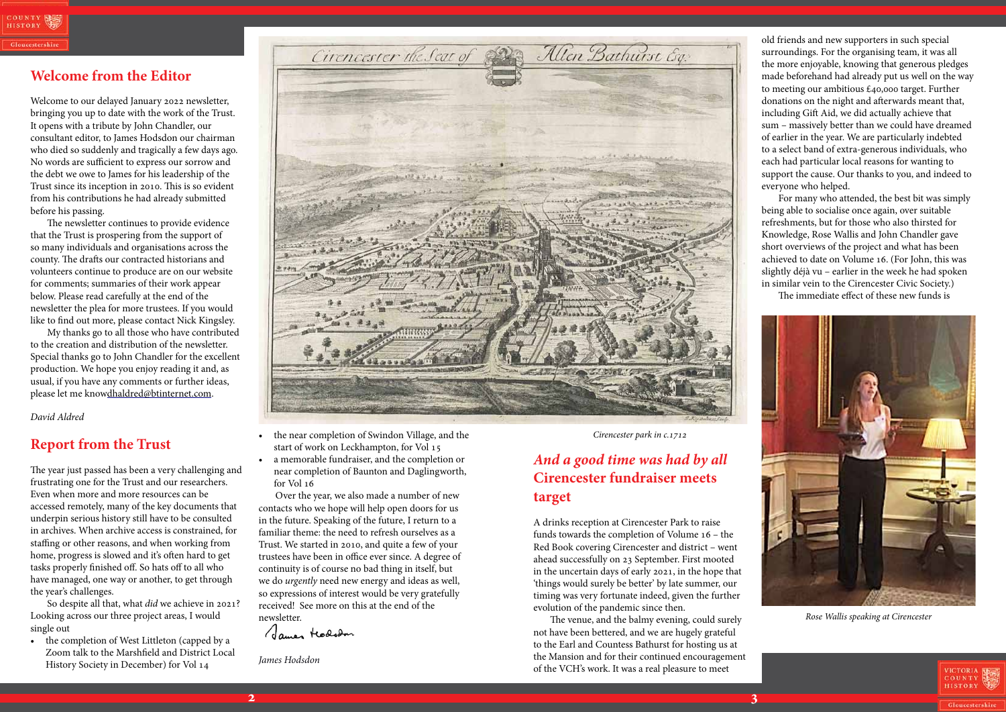### **Welcome from the Editor**

Welcome to our delayed January 2022 newsletter, bringing you up to date with the work of the Trust. It opens with a tribute by John Chandler, our consultant editor, to James Hodsdon our chairman who died so suddenly and tragically a few days ago. No words are sufficient to express our sorrow and the debt we owe to James for his leadership of the Trust since its inception in 2010. This is so evident from his contributions he had already submitted before his passing.

The newsletter continues to provide evidence that the Trust is prospering from the support of so many individuals and organisations across the county. The drafts our contracted historians and volunteers continue to produce are on our website for comments; summaries of their work appear below. Please read carefully at the end of the newsletter the plea for more trustees. If you would like to find out more, please contact Nick Kingsley.

• the completion of West Littleton (capped by a Zoom talk to the Marshfield and District Local History Society in December) for Vol 14



My thanks go to all those who have contributed to the creation and distribution of the newsletter. Special thanks go to John Chandler for the excellent production. We hope you enjoy reading it and, as usual, if you have any comments or further ideas, please let me knowdhaldred@btinternet.com.

- the near completion of Swindon Village, and the start of work on Leckhampton, for Vol 15
- a memorable fundraiser, and the completion or near completion of Baunton and Daglingworth, for Vol 16

*David Aldred*

# **Report from the Trust**

The year just passed has been a very challenging and frustrating one for the Trust and our researchers. Even when more and more resources can be accessed remotely, many of the key documents that underpin serious history still have to be consulted in archives. When archive access is constrained, for staffing or other reasons, and when working from home, progress is slowed and it's often hard to get tasks properly finished off. So hats off to all who have managed, one way or another, to get through the year's challenges.

So despite all that, what *did* we achieve in 2021? Looking across our three project areas, I would single out

Over the year, we also made a number of new contacts who we hope will help open doors for us in the future. Speaking of the future, I return to a familiar theme: the need to refresh ourselves as a Trust. We started in 2010, and quite a few of your trustees have been in office ever since. A degree of continuity is of course no bad thing in itself, but we do *urgently* need new energy and ideas as well, so expressions of interest would be very gratefully received! See more on this at the end of the

newsletter.<br>James Hodsdar

*James Hodsdon*

# *And a good time was had by all*  **Cirencester fundraiser meets target**

A drinks reception at Cirencester Park to raise funds towards the completion of Volume 16 – the Red Book covering Cirencester and district – went ahead successfully on 23 September. First mooted in the uncertain days of early 2021, in the hope that 'things would surely be better' by late summer, our timing was very fortunate indeed, given the further evolution of the pandemic since then.

The venue, and the balmy evening, could surely not have been bettered, and we are hugely grateful to the Earl and Countess Bathurst for hosting us at the Mansion and for their continued encouragement of the VCH's work. It was a real pleasure to meet

old friends and new supporters in such special surroundings. For the organising team, it was all the more enjoyable, knowing that generous pledges made beforehand had already put us well on the way to meeting our ambitious £40,000 target. Further donations on the night and afterwards meant that, including Gift Aid, we did actually achieve that sum – massively better than we could have dreamed of earlier in the year. We are particularly indebted to a select band of extra-generous individuals, who each had particular local reasons for wanting to support the cause. Our thanks to you, and indeed to everyone who helped.

For many who attended, the best bit was simply being able to socialise once again, over suitable refreshments, but for those who also thirsted for Knowledge, Rose Wallis and John Chandler gave short overviews of the project and what has been achieved to date on Volume 16. (For John, this was slightly déjà vu – earlier in the week he had spoken in similar vein to the Cirencester Civic Society.)

The immediate effect of these new funds is

### *Cirencester park in c.1712*



*Rose Wallis speaking at Cirencester*

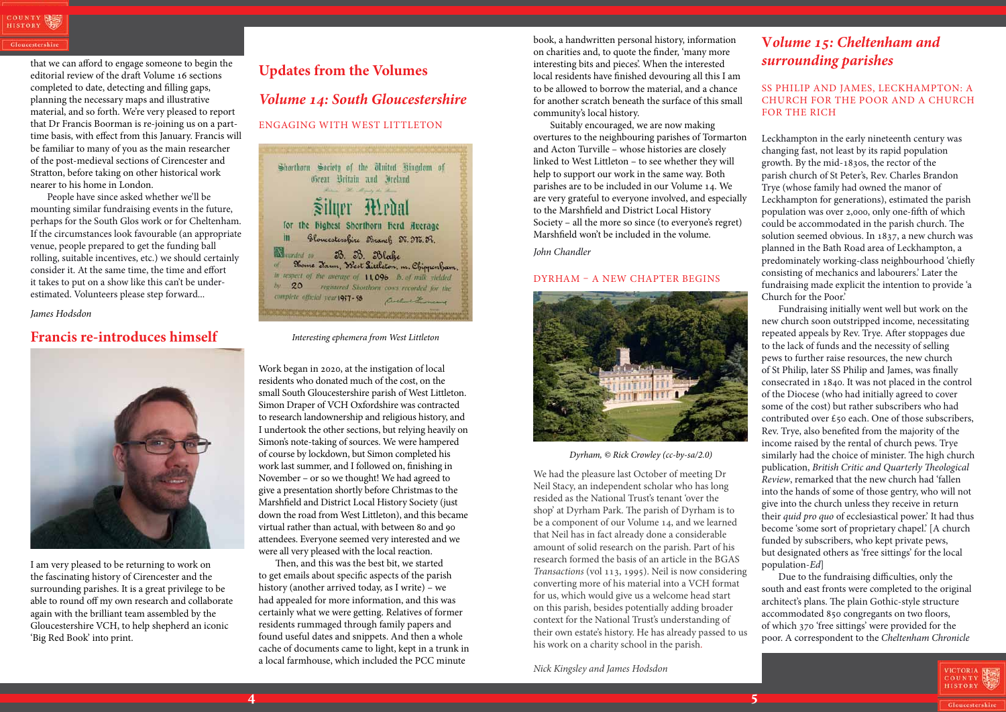Gloucestershir

# **V***olume 15: Cheltenham and surrounding parishes*

SS Philip and James, Leckhampton: A Church for the Poor and a Church for the Rich

Leckhampton in the early nineteenth century was changing fast, not least by its rapid population growth. By the mid-1830s, the rector of the parish church of St Peter's, Rev. Charles Brandon Trye (whose family had owned the manor of Leckhampton for generations), estimated the parish population was over 2,000, only one-fifth of which could be accommodated in the parish church. The solution seemed obvious. In 1837, a new church was planned in the Bath Road area of Leckhampton, a predominately working-class neighbourhood 'chiefly consisting of mechanics and labourers.' Later the fundraising made explicit the intention to provide 'a Church for the Poor.'

Fundraising initially went well but work on the new church soon outstripped income, necessitating repeated appeals by Rev. Trye. After stoppages due to the lack of funds and the necessity of selling pews to further raise resources, the new church of St Philip, later SS Philip and James, was finally consecrated in 1840. It was not placed in the control of the Diocese (who had initially agreed to cover some of the cost) but rather subscribers who had contributed over £50 each. One of those subscribers, Rev. Trye, also benefited from the majority of the income raised by the rental of church pews. Trye similarly had the choice of minister. The high church publication, *British Critic and Quarterly Theological Review*, remarked that the new church had 'fallen into the hands of some of those gentry, who will not give into the church unless they receive in return their *quid pro quo* of ecclesiastical power.' It had thus become 'some sort of proprietary chapel.' [A church funded by subscribers, who kept private pews, but designated others as 'free sittings' for the local population-*Ed*]

Due to the fundraising difficulties, only the south and east fronts were completed to the original architect's plans. The plain Gothic-style structure accommodated 850 congregants on two floors, of which 370 'free sittings' were provided for the poor. A correspondent to the *Cheltenham Chronicle*



that we can afford to engage someone to begin the editorial review of the draft Volume 16 sections completed to date, detecting and filling gaps, planning the necessary maps and illustrative material, and so forth. We're very pleased to report that Dr Francis Boorman is re-joining us on a parttime basis, with effect from this January. Francis will be familiar to many of you as the main researcher of the post-medieval sections of Cirencester and Stratton, before taking on other historical work nearer to his home in London.

People have since asked whether we'll be mounting similar fundraising events in the future, perhaps for the South Glos work or for Cheltenham. If the circumstances look favourable (an appropriate venue, people prepared to get the funding ball rolling, suitable incentives, etc.) we should certainly consider it. At the same time, the time and effort it takes to put on a show like this can't be underestimated. Volunteers please step forward...

*James Hodsdon*

### **Francis re-introduces himself**



I am very pleased to be returning to work on the fascinating history of Cirencester and the surrounding parishes. It is a great privilege to be able to round off my own research and collaborate again with the brilliant team assembled by the Gloucestershire VCH, to help shepherd an iconic 'Big Red Book' into print.

### **Updates from the Volumes**

### *Volume 14: South Gloucestershire*

### Engaging with West Littleton

Work began in 2020, at the instigation of local residents who donated much of the cost, on the small South Gloucestershire parish of West Littleton. Simon Draper of VCH Oxfordshire was contracted to research landownership and religious history, and I undertook the other sections, but relying heavily on Simon's note-taking of sources. We were hampered of course by lockdown, but Simon completed his work last summer, and I followed on, finishing in November – or so we thought! We had agreed to give a presentation shortly before Christmas to the Marshfield and District Local History Society (just down the road from West Littleton), and this became virtual rather than actual, with between 80 and 90 attendees. Everyone seemed very interested and we were all very pleased with the local reaction.

Then, and this was the best bit, we started to get emails about specific aspects of the parish history (another arrived today, as I write) – we had appealed for more information, and this was certainly what we were getting. Relatives of former residents rummaged through family papers and found useful dates and snippets. And then a whole cache of documents came to light, kept in a trunk in a local farmhouse, which included the PCC minute

book, a handwritten personal history, information on charities and, to quote the finder, 'many more interesting bits and pieces'. When the interested local residents have finished devouring all this I am to be allowed to borrow the material, and a chance for another scratch beneath the surface of this small community's local history.

Suitably encouraged, we are now making overtures to the neighbouring parishes of Tormarton and Acton Turville – whose histories are closely linked to West Littleton – to see whether they will help to support our work in the same way. Both parishes are to be included in our Volume 14. We are very grateful to everyone involved, and especially to the Marshfield and District Local History Society – all the more so since (to everyone's regret) Marshfield won't be included in the volume.

*John Chandler*

### Dyrham – a new chapter begins



We had the pleasure last October of meeting Dr Neil Stacy, an independent scholar who has long resided as the National Trust's tenant 'over the shop' at Dyrham Park. The parish of Dyrham is to be a component of our Volume 14, and we learned that Neil has in fact already done a considerable amount of solid research on the parish. Part of his research formed the basis of an article in the BGAS *Transactions* (vol 113, 1995). Neil is now considering converting more of his material into a VCH format for us, which would give us a welcome head start on this parish, besides potentially adding broader context for the National Trust's understanding of their own estate's history. He has already passed to us his work on a charity school in the parish.

*Nick Kingsley and James Hodsdon* 



*Interesting ephemera from West Littleton*

*Dyrham, © Rick Crowley (cc-by-sa/2.0)*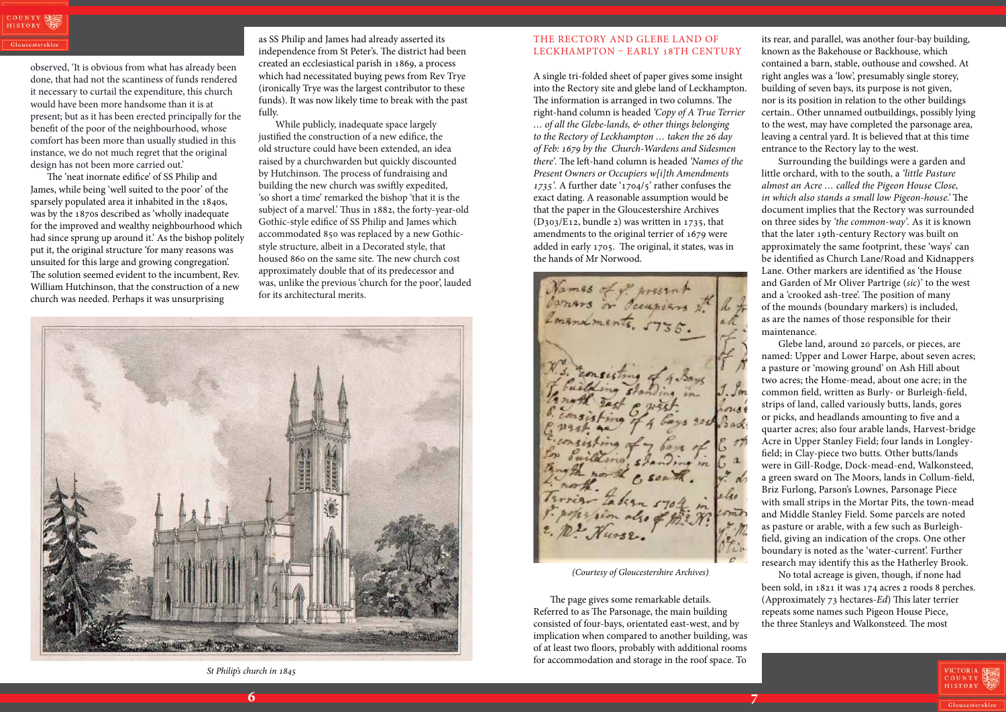observed, 'It is obvious from what has already been done, that had not the scantiness of funds rendered it necessary to curtail the expenditure, this church would have been more handsome than it is at present; but as it has been erected principally for the benefit of the poor of the neighbourhood, whose comfort has been more than usually studied in this instance, we do not much regret that the original design has not been more carried out.'

The 'neat inornate edifice' of SS Philip and James, while being 'well suited to the poor' of the sparsely populated area it inhabited in the 1840s, was by the 1870s described as 'wholly inadequate for the improved and wealthy neighbourhood which had since sprung up around it.' As the bishop politely put it, the original structure 'for many reasons was unsuited for this large and growing congregation'. The solution seemed evident to the incumbent, Rev. William Hutchinson, that the construction of a new church was needed. Perhaps it was unsurprising

### The Rectory and Glebe Land of LECKHAMPTON - EARLY 18TH CENTURY

as SS Philip and James had already asserted its independence from St Peter's. The district had been created an ecclesiastical parish in 1869, a process which had necessitated buying pews from Rev Trye (ironically Trye was the largest contributor to these funds). It was now likely time to break with the past fully.

While publicly, inadequate space largely justified the construction of a new edifice, the old structure could have been extended, an idea raised by a churchwarden but quickly discounted by Hutchinson. The process of fundraising and building the new church was swiftly expedited, 'so short a time' remarked the bishop 'that it is the subject of a marvel.' Thus in 1882, the forty-year-old Gothic-style edifice of SS Philip and James which accommodated 850 was replaced by a new Gothicstyle structure, albeit in a Decorated style, that housed 860 on the same site. The new church cost approximately double that of its predecessor and was, unlike the previous 'church for the poor', lauded for its architectural merits.

A single tri-folded sheet of paper gives some insight into the Rectory site and glebe land of Leckhampton. The information is arranged in two columns. The right-hand column is headed *'Copy of A True Terrier … of all the Glebe-lands, & other things belonging to the Rectory of Leckhampton … taken the 26 day of Feb: 1679 by the Church-Wardens and Sidesmen there'.* The left-hand column is headed *'Names of the Present Owners or Occupiers w[i]th Amendments 1735'.* A further date '1704/5' rather confuses the exact dating. A reasonable assumption would be that the paper in the Gloucestershire Archives (D303/E12, bundle 2) was written in 1735, that amendments to the original terrier of 1679 were added in early 1705. The original, it states, was in the hands of Mr Norwood.

The page gives some remarkable details. Referred to as The Parsonage, the main building consisted of four-bays, orientated east-west, and by implication when compared to another building, was of at least two floors, probably with additional rooms for accommodation and storage in the roof space. To its rear, and parallel, was another four-bay building, known as the Bakehouse or Backhouse, which contained a barn, stable, outhouse and cowshed. At right angles was a 'low', presumably single storey, building of seven bays, its purpose is not given, nor is its position in relation to the other buildings certain.. Other unnamed outbuildings, possibly lying to the west, may have completed the parsonage area, leaving a central yard. It is believed that at this time entrance to the Rectory lay to the west.

Surrounding the buildings were a garden and little orchard, with to the south, a *'little Pasture almost an Acre … called the Pigeon House Close, in which also stands a small low Pigeon-house.'* The document implies that the Rectory was surrounded on three sides by *'the common-way'.* As it is known that the later 19th-century Rectory was built on approximately the same footprint, these 'ways' can be identified as Church Lane/Road and Kidnappers Lane. Other markers are identified as 'the House and Garden of Mr Oliver Partrige (*sic*)' to the west and a 'crooked ash-tree'. The position of many of the mounds (boundary markers) is included, as are the names of those responsible for their maintenance.

Glebe land, around 20 parcels, or pieces, are named: Upper and Lower Harpe, about seven acres; a pasture or 'mowing ground' on Ash Hill about two acres; the Home-mead, about one acre; in the common field, written as Burly- or Burleigh-field, strips of land, called variously butts, lands, gores or picks, and headlands amounting to five and a quarter acres; also four arable lands, Harvest-bridge Acre in Upper Stanley Field; four lands in Longleyfield; in Clay-piece two butts. Other butts/lands were in Gill-Rodge, Dock-mead-end, Walkonsteed, a green sward on The Moors, lands in Collum-field, Briz Furlong, Parson's Lownes, Parsonage Piece with small strips in the Mortar Pits, the town-mead and Middle Stanley Field. Some parcels are noted as pasture or arable, with a few such as Burleighfield, giving an indication of the crops. One other boundary is noted as the 'water-current'. Further research may identify this as the Hatherley Brook.

No total acreage is given, though, if none had been sold, in 1821 it was 174 acres 2 roods 8 perches. (Approximately 73 hectares-*Ed*) This later terrier repeats some names such Pigeon House Piece, the three Stanleys and Walkonsteed. The most





*St Philip's church in 1845*

*(Courtesy of Gloucestershire Archives)*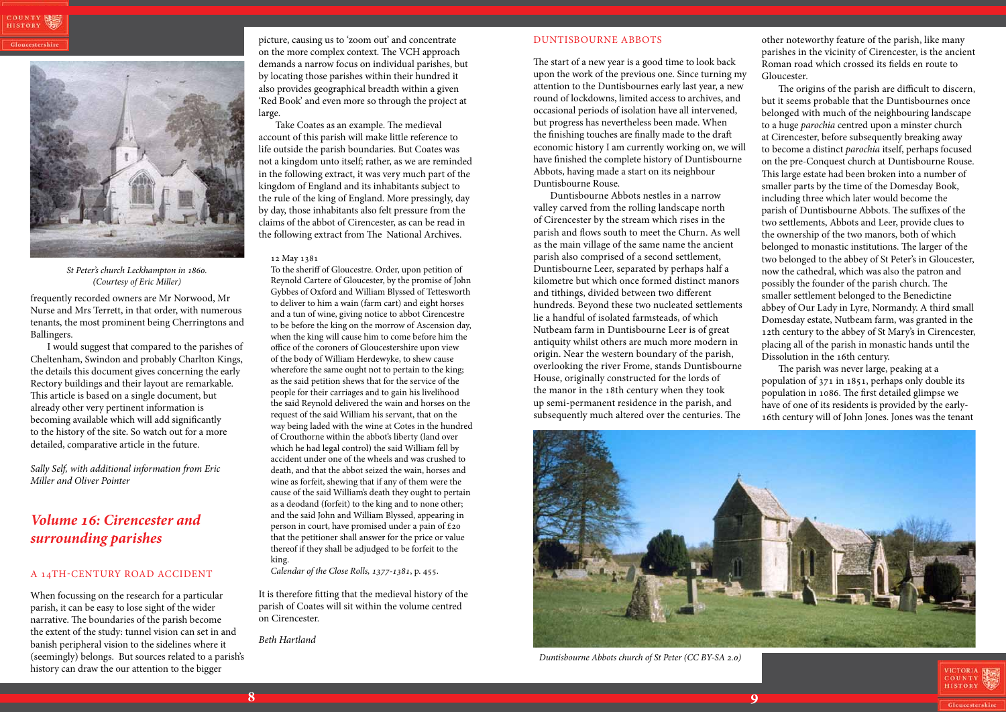### Duntisbourne Abbots

The start of a new year is a good time to look back upon the work of the previous one. Since turning my attention to the Duntisbournes early last year, a new round of lockdowns, limited access to archives, and occasional periods of isolation have all intervened, but progress has nevertheless been made. When the finishing touches are finally made to the draft economic history I am currently working on, we will have finished the complete history of Duntisbourne Abbots, having made a start on its neighbour Duntisbourne Rouse.

Duntisbourne Abbots nestles in a narrow valley carved from the rolling landscape north of Cirencester by the stream which rises in the parish and flows south to meet the Churn. As well as the main village of the same name the ancient parish also comprised of a second settlement, Duntisbourne Leer, separated by perhaps half a kilometre but which once formed distinct manors and tithings, divided between two different hundreds. Beyond these two nucleated settlements lie a handful of isolated farmsteads, of which Nutbeam farm in Duntisbourne Leer is of great antiquity whilst others are much more modern in origin. Near the western boundary of the parish, overlooking the river Frome, stands Duntisbourne House, originally constructed for the lords of the manor in the 18th century when they took up semi-permanent residence in the parish, and subsequently much altered over the centuries. The

other noteworthy feature of the parish, like many parishes in the vicinity of Cirencester, is the ancient Roman road which crossed its fields en route to Gloucester.

The origins of the parish are difficult to discern, but it seems probable that the Duntisbournes once belonged with much of the neighbouring landscape to a huge *parochia* centred upon a minster church at Cirencester, before subsequently breaking away to become a distinct *parochia* itself, perhaps focused on the pre-Conquest church at Duntisbourne Rouse. This large estate had been broken into a number of smaller parts by the time of the Domesday Book, including three which later would become the parish of Duntisbourne Abbots. The suffixes of the two settlements, Abbots and Leer, provide clues to the ownership of the two manors, both of which belonged to monastic institutions. The larger of the two belonged to the abbey of St Peter's in Gloucester, now the cathedral, which was also the patron and possibly the founder of the parish church. The smaller settlement belonged to the Benedictine abbey of Our Lady in Lyre, Normandy. A third small Domesday estate, Nutbeam farm, was granted in the 12th century to the abbey of St Mary's in Cirencester, placing all of the parish in monastic hands until the Dissolution in the 16th century.

The parish was never large, peaking at a population of 371 in 1851, perhaps only double its population in 1086. The first detailed glimpse we have of one of its residents is provided by the early-16th century will of John Jones. Jones was the tenant



frequently recorded owners are Mr Norwood, Mr Nurse and Mrs Terrett, in that order, with numerous tenants, the most prominent being Cherringtons and Ballingers.

I would suggest that compared to the parishes of Cheltenham, Swindon and probably Charlton Kings, the details this document gives concerning the early Rectory buildings and their layout are remarkable. This article is based on a single document, but already other very pertinent information is becoming available which will add significantly to the history of the site. So watch out for a more detailed, comparative article in the future.

*Sally Self, with additional information from Eric Miller and Oliver Pointer*

# *Volume 16: Cirencester and surrounding parishes*

### A 14TH-CENTURY ROAD ACCIDENT

When focussing on the research for a particular parish, it can be easy to lose sight of the wider narrative. The boundaries of the parish become the extent of the study: tunnel vision can set in and banish peripheral vision to the sidelines where it (seemingly) belongs. But sources related to a parish's history can draw the our attention to the bigger

picture, causing us to 'zoom out' and concentrate on the more complex context. The VCH approach demands a narrow focus on individual parishes, but by locating those parishes within their hundred it also provides geographical breadth within a given 'Red Book' and even more so through the project at large.

Take Coates as an example. The medieval account of this parish will make little reference to life outside the parish boundaries. But Coates was not a kingdom unto itself; rather, as we are reminded in the following extract, it was very much part of the kingdom of England and its inhabitants subject to the rule of the king of England. More pressingly, day by day, those inhabitants also felt pressure from the claims of the abbot of Cirencester, as can be read in the following extract from The National Archives.

### 12 May 1381

To the sheriff of Gloucestre. Order, upon petition of Reynold Cartere of Gloucester, by the promise of John Gybbes of Oxford and William Blyssed of Tettesworth to deliver to him a wain (farm cart) and eight horses and a tun of wine, giving notice to abbot Cirencestre to be before the king on the morrow of Ascension day, when the king will cause him to come before him the office of the coroners of Gloucestershire upon view of the body of William Herdewyke, to shew cause wherefore the same ought not to pertain to the king; as the said petition shews that for the service of the people for their carriages and to gain his livelihood the said Reynold delivered the wain and horses on the request of the said William his servant, that on the way being laded with the wine at Cotes in the hundred of Crouthorne within the abbot's liberty (land over which he had legal control) the said William fell by accident under one of the wheels and was crushed to death, and that the abbot seized the wain, horses and wine as forfeit, shewing that if any of them were the cause of the said William's death they ought to pertain as a deodand (forfeit) to the king and to none other; and the said John and William Blyssed, appearing in person in court, have promised under a pain of £20 that the petitioner shall answer for the price or value thereof if they shall be adjudged to be forfeit to the king.

*Calendar of the Close Rolls, 1377-1381*, p. 455.

It is therefore fitting that the medieval history of the parish of Coates will sit within the volume centred on Cirencester.

*Beth Hartland*



*St Peter's church Leckhampton in 1860. (Courtesy of Eric Miller)*



*Duntisbourne Abbots church of St Peter (CC BY-SA 2.0)*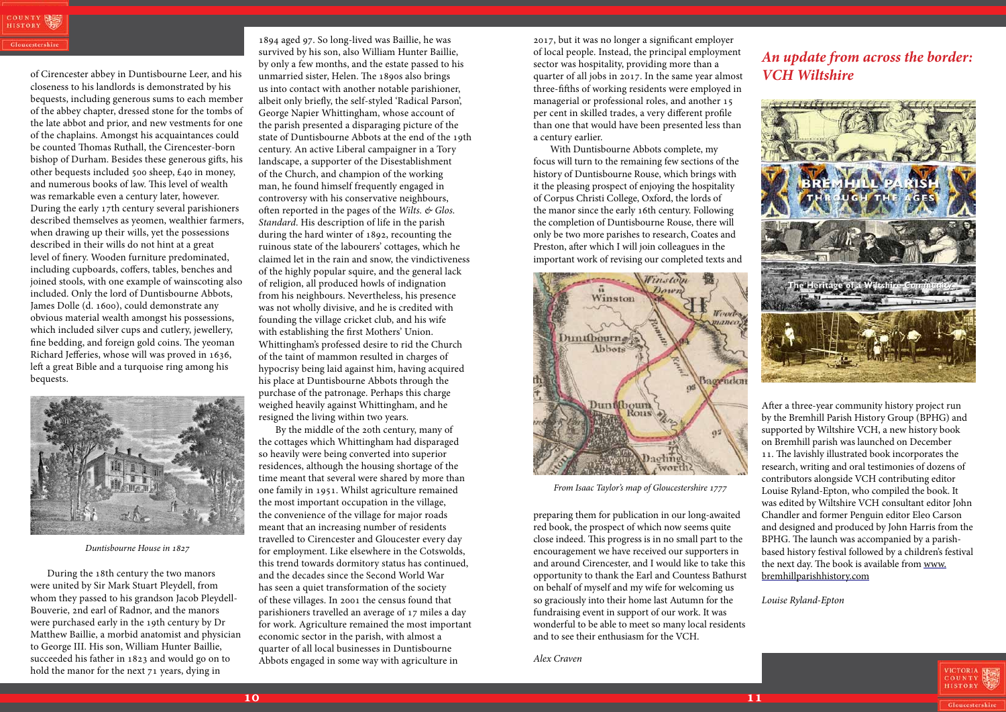of Cirencester abbey in Duntisbourne Leer, and his closeness to his landlords is demonstrated by his bequests, including generous sums to each member of the abbey chapter, dressed stone for the tombs of the late abbot and prior, and new vestments for one of the chaplains. Amongst his acquaintances could be counted Thomas Ruthall, the Cirencester-born bishop of Durham. Besides these generous gifts, his other bequests included 500 sheep, £40 in money, and numerous books of law. This level of wealth was remarkable even a century later, however. During the early 17th century several parishioners described themselves as yeomen, wealthier farmers, when drawing up their wills, yet the possessions described in their wills do not hint at a great level of finery. Wooden furniture predominated, including cupboards, coffers, tables, benches and joined stools, with one example of wainscoting also included. Only the lord of Duntisbourne Abbots, James Dolle (d. 1600), could demonstrate any obvious material wealth amongst his possessions, which included silver cups and cutlery, jewellery, fine bedding, and foreign gold coins. The yeoman Richard Jefferies, whose will was proved in 1636, left a great Bible and a turquoise ring among his bequests.

During the 18th century the two manors were united by Sir Mark Stuart Pleydell, from whom they passed to his grandson Jacob Pleydell-Bouverie, 2nd earl of Radnor, and the manors were purchased early in the 19th century by Dr Matthew Baillie, a morbid anatomist and physician to George III. His son, William Hunter Baillie, succeeded his father in 1823 and would go on to hold the manor for the next 71 years, dying in

1894 aged 97. So long-lived was Baillie, he was survived by his son, also William Hunter Baillie, by only a few months, and the estate passed to his unmarried sister, Helen. The 1890s also brings us into contact with another notable parishioner, albeit only briefly, the self-styled 'Radical Parson', George Napier Whittingham, whose account of the parish presented a disparaging picture of the state of Duntisbourne Abbots at the end of the 19th century. An active Liberal campaigner in a Tory landscape, a supporter of the Disestablishment of the Church, and champion of the working man, he found himself frequently engaged in controversy with his conservative neighbours, often reported in the pages of the *Wilts. & Glos. Standard*. His description of life in the parish during the hard winter of 1892, recounting the ruinous state of the labourers' cottages, which he claimed let in the rain and snow, the vindictiveness of the highly popular squire, and the general lack of religion, all produced howls of indignation from his neighbours. Nevertheless, his presence was not wholly divisive, and he is credited with founding the village cricket club, and his wife with establishing the first Mothers' Union. Whittingham's professed desire to rid the Church of the taint of mammon resulted in charges of hypocrisy being laid against him, having acquired his place at Duntisbourne Abbots through the purchase of the patronage. Perhaps this charge weighed heavily against Whittingham, and he resigned the living within two years.

By the middle of the 20th century, many of the cottages which Whittingham had disparaged so heavily were being converted into superior residences, although the housing shortage of the time meant that several were shared by more than one family in 1951. Whilst agriculture remained the most important occupation in the village, the convenience of the village for major roads meant that an increasing number of residents travelled to Cirencester and Gloucester every day for employment. Like elsewhere in the Cotswolds, this trend towards dormitory status has continued, and the decades since the Second World War has seen a quiet transformation of the society of these villages. In 2001 the census found that parishioners travelled an average of 17 miles a day for work. Agriculture remained the most important economic sector in the parish, with almost a quarter of all local businesses in Duntisbourne Abbots engaged in some way with agriculture in

### *An update from across the border: VCH Wiltshire*



After a three-year community history project run by the Bremhill Parish History Group (BPHG) and supported by Wiltshire VCH, a new history book on Bremhill parish was launched on December 11. The lavishly illustrated book incorporates the research, writing and oral testimonies of dozens of contributors alongside VCH contributing editor Louise Ryland-Epton, who compiled the book. It was edited by Wiltshire VCH consultant editor John Chandler and former Penguin editor Eleo Carson and designed and produced by John Harris from the BPHG. The launch was accompanied by a parishbased history festival followed by a children's festival the next day. The book is available from www. bremhillparishhistory.com

*Louise Ryland-Epton*



2017, but it was no longer a significant employer of local people. Instead, the principal employment sector was hospitality, providing more than a quarter of all jobs in 2017. In the same year almost three-fifths of working residents were employed in managerial or professional roles, and another 15 per cent in skilled trades, a very different profile than one that would have been presented less than a century earlier.

With Duntisbourne Abbots complete, my focus will turn to the remaining few sections of the history of Duntisbourne Rouse, which brings with it the pleasing prospect of enjoying the hospitality of Corpus Christi College, Oxford, the lords of the manor since the early 16th century. Following the completion of Duntisbourne Rouse, there will only be two more parishes to research, Coates and Preston, after which I will join colleagues in the important work of revising our completed texts and

preparing them for publication in our long-awaited red book, the prospect of which now seems quite close indeed. This progress is in no small part to the encouragement we have received our supporters in and around Cirencester, and I would like to take this opportunity to thank the Earl and Countess Bathurst on behalf of myself and my wife for welcoming us so graciously into their home last Autumn for the fundraising event in support of our work. It was wonderful to be able to meet so many local residents and to see their enthusiasm for the VCH.

*Alex Craven*



*Duntisbourne House in 1827*



*From Isaac Taylor's map of Gloucestershire 1777*